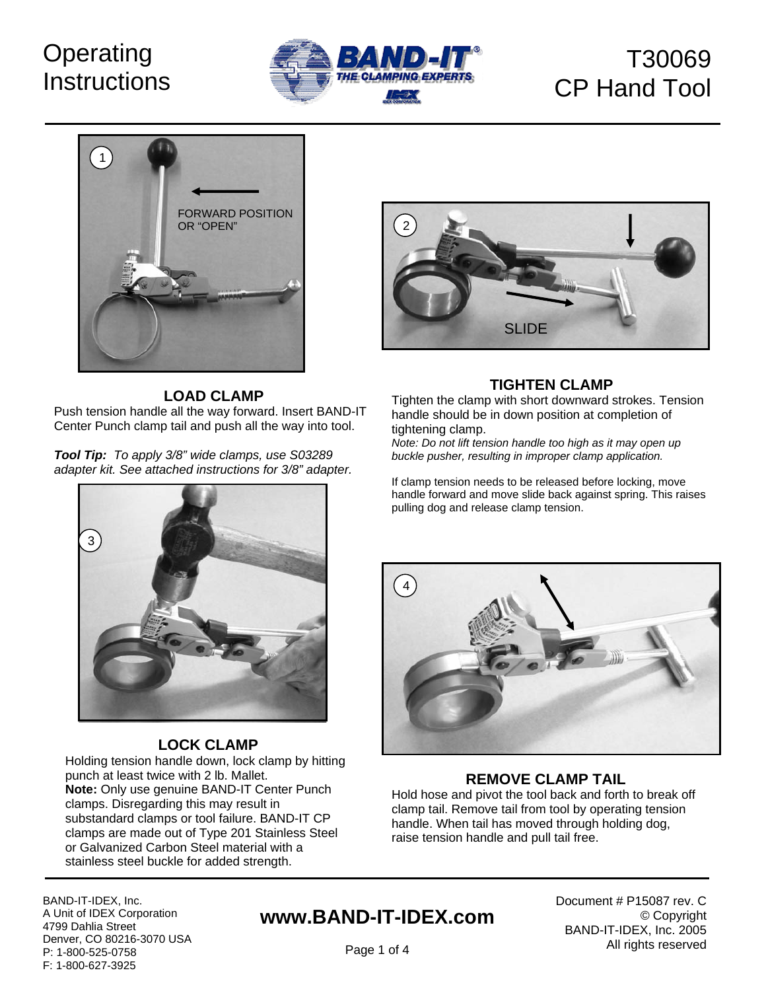# **Operating Instructions**



# T30069 CP Hand Tool



### **LOAD CLAMP**

Push tension handle all the way forward. Insert BAND-IT Center Punch clamp tail and push all the way into tool.

*Tool Tip: To apply 3/8" wide clamps, use S03289 adapter kit. See attached instructions for 3/8" adapter.*



## **TIGHTEN CLAMP**

Tighten the clamp with short downward strokes. Tension handle should be in down position at completion of tightening clamp.

*Note: Do not lift tension handle too high as it may open up buckle pusher, resulting in improper clamp application.* 

If clamp tension needs to be released before locking, move handle forward and move slide back against spring. This raises pulling dog and release clamp tension.



## **LOCK CLAMP**

Holding tension handle down, lock clamp by hitting punch at least twice with 2 lb. Mallet. **Note:** Only use genuine BAND-IT Center Punch clamps. Disregarding this may result in substandard clamps or tool failure. BAND-IT CP clamps are made out of Type 201 Stainless Steel or Galvanized Carbon Steel material with a stainless steel buckle for added strength.



## **REMOVE CLAMP TAIL**

Hold hose and pivot the tool back and forth to break off clamp tail. Remove tail from tool by operating tension handle. When tail has moved through holding dog, raise tension handle and pull tail free.

BAND-IT-IDEX, Inc. A Unit of IDEX Corporation 4799 Dahlia Street Denver, CO 80216-3070 USA P: 1-800-525-0758 F: 1-800-627-3925

# **www.BAND-IT-IDEX.com**

Document # P15087 rev. C © Copyright BAND-IT-IDEX, Inc. 2005 All rights reserved

Page 1 of 4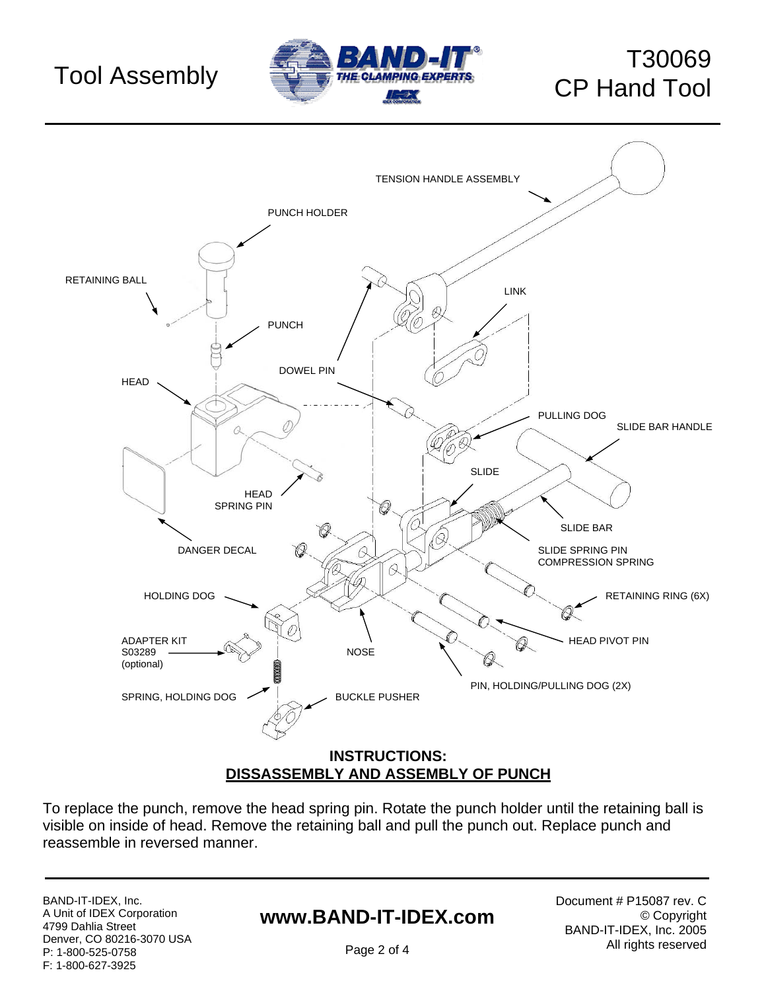

# T30069



To replace the punch, remove the head spring pin. Rotate the punch holder until the retaining ball is visible on inside of head. Remove the retaining ball and pull the punch out. Replace punch and reassemble in reversed manner.

BAND-IT-IDEX, Inc. A Unit of IDEX Corporation 4799 Dahlia Street Denver, CO 80216-3070 USA P: 1-800-525-0758 F: 1-800-627-3925

# **www.BAND-IT-IDEX.com**

Document # P15087 rev. C © Copyright BAND-IT-IDEX, Inc. 2005 All rights reserved

Page 2 of 4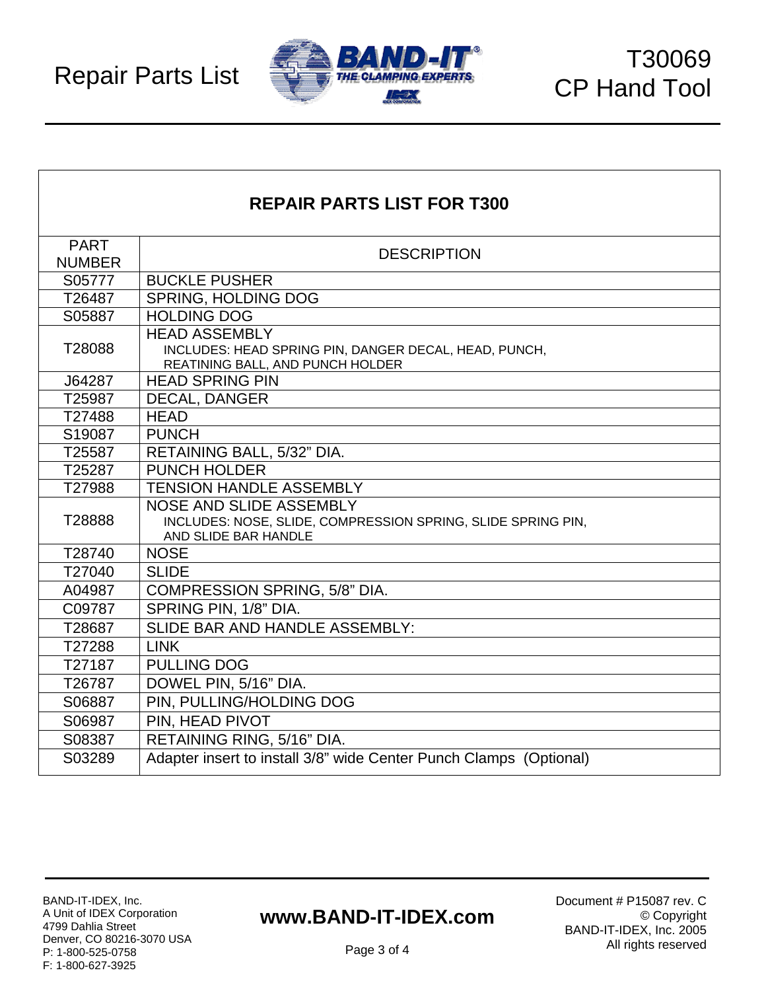

| <b>REPAIR PARTS LIST FOR T300</b> |                                                                                                                   |
|-----------------------------------|-------------------------------------------------------------------------------------------------------------------|
| <b>PART</b>                       | <b>DESCRIPTION</b>                                                                                                |
| <b>NUMBER</b>                     |                                                                                                                   |
| S05777                            | <b>BUCKLE PUSHER</b>                                                                                              |
| T26487                            | <b>SPRING, HOLDING DOG</b>                                                                                        |
| S05887                            | <b>HOLDING DOG</b>                                                                                                |
| T28088                            | <b>HEAD ASSEMBLY</b><br>INCLUDES: HEAD SPRING PIN, DANGER DECAL, HEAD, PUNCH,<br>REATINING BALL, AND PUNCH HOLDER |
| J64287                            | <b>HEAD SPRING PIN</b>                                                                                            |
| T25987                            | <b>DECAL, DANGER</b>                                                                                              |
| T27488                            | <b>HEAD</b>                                                                                                       |
| S19087                            | <b>PUNCH</b>                                                                                                      |
| T25587                            | RETAINING BALL, 5/32" DIA.                                                                                        |
| T25287                            | <b>PUNCH HOLDER</b>                                                                                               |
| T27988                            | <b>TENSION HANDLE ASSEMBLY</b>                                                                                    |
| T28888                            | NOSE AND SLIDE ASSEMBLY<br>INCLUDES: NOSE, SLIDE, COMPRESSION SPRING, SLIDE SPRING PIN,<br>AND SLIDE BAR HANDLE   |
| T28740                            | <b>NOSE</b>                                                                                                       |
| T27040                            | <b>SLIDE</b>                                                                                                      |
| A04987                            | COMPRESSION SPRING, 5/8" DIA.                                                                                     |
| C09787                            | SPRING PIN, 1/8" DIA.                                                                                             |
| T28687                            | SLIDE BAR AND HANDLE ASSEMBLY:                                                                                    |
| T27288                            | <b>LINK</b>                                                                                                       |
| T27187                            | <b>PULLING DOG</b>                                                                                                |
| T26787                            | DOWEL PIN, 5/16" DIA.                                                                                             |
| S06887                            | PIN, PULLING/HOLDING DOG                                                                                          |
| S06987                            | PIN, HEAD PIVOT                                                                                                   |
| S08387                            | RETAINING RING, 5/16" DIA.                                                                                        |
| S03289                            | Adapter insert to install 3/8" wide Center Punch Clamps (Optional)                                                |

## **www.BAND-IT-IDEX.com**